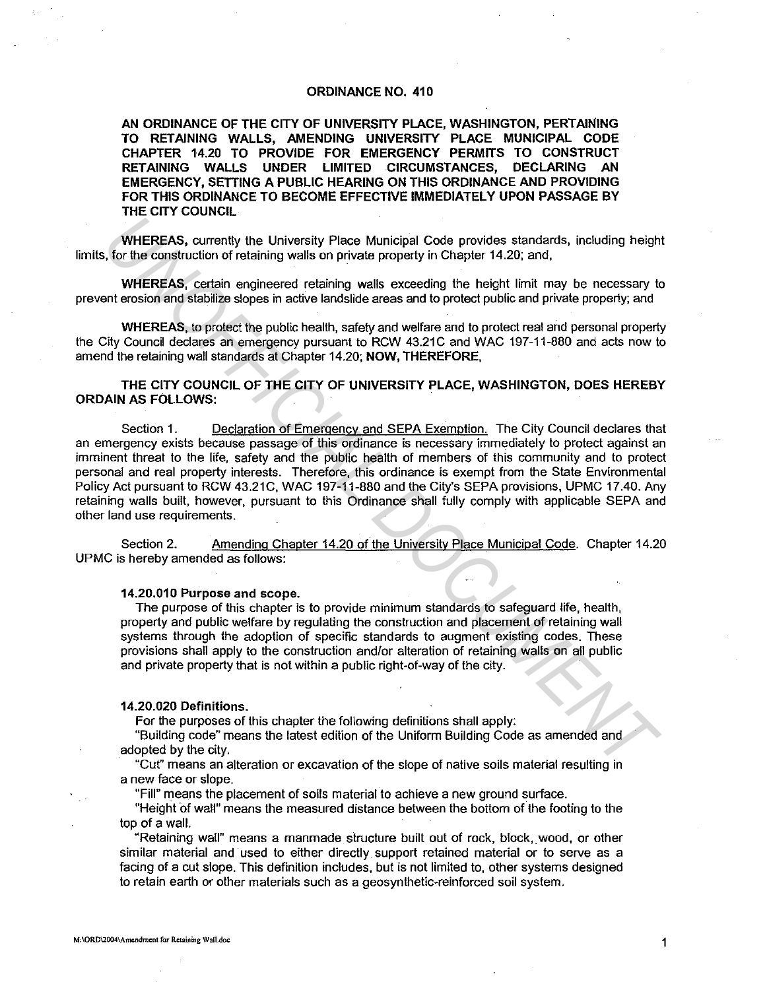## ORDINANCE NO. 410

AN ORDINANCE OF THE CITY OF UNIVERSITY PLACE, WASHINGTON, PERTAINING TO RETAINING WALLS, AMENDING UNIVERSITY PLACE MUNICIPAL CODE CHAPTER 14.20 TO PROVIDE FOR EMERGENCY PERMITS TO CONSTRUCT<br>RETAINING WALLS UNDER LIMITED CIRCUMSTANCES. DECLARING AN RETAINING WALLS UNDER LIMITED CIRCUMSTANCES. EMERGENCY, SETTING A PUBLIC HEARING ON THIS ORDINANCE AND PROVIDING FOR THIS ORDINANCE TO BECOME EFFECTIVE IMMEDIATELY UPON PASSAGE BY THE CITY COUNCIL

WHEREAS, currently the University Place Municipal Code provides standards, including height limits, for the construction of retaining walls on private property in Chapter 14.20; and,

WHEREAS, certain engineered retaining walls exceeding the height limit may be necessary to prevent erosion and stabilize slopes in active landslide areas and to protect public and private property; and

WHEREAS, to protect the public health, safety and welfare and to protect real and personal property the City Council declares an emergency pursuant to RCW 43.21C and WAC 197-11-880 and acts now to amend the retaining wall standards at Chapter 14.20; NOW, THEREFORE,

# THE CITY COUNCIL OF THE CITY OF UNIVERSITY PLACE, WASHINGTON, DOES HEREBY ORDAIN AS FOLLOWS: .

Section 1. Declaration of Emergency and SEPA Exemption. The City Council declares that an emergency exists because passage of this ordinance is necessary immediately to protect against an imminent threat to the life, safety and the public health of members of this community and to protect personal and real property interests. Therefore, this ordinance is exempt from the State Environmental Policy Act pursuant to RCW 43.21C, WAC 197-11-880 and the City's SEPA provisions, UPMC 17.40. Any retaining walls built, however, pursuant to this Ordinance shall fully comply with applicable SEPA and other land use requirements. **WHEREAS, currently the University Piace Municipal Code provides standards, including height<br>
WHEREAS, currently the University Piace Municipal Code provides standards, including the<br>
UNEREAS, certain engineered relating w** 

Section 2. Amending Chapter 14.20 of the University Place Municipal Code. Chapter 14.20 UPMC is hereby amended as follows:

#### 14.20.010 Purpose and scope.

The purpose of this chapter is to provide minimum standards to safeguard life, health, property and public welfare by regulating the construction and placement of retaining wall systems through the adoption of specific standards to augment existing codes. These provisions shall apply to the construction and/or alteration of retaining walls on all public and private property that is not within a public right-of-way of the city.

### 14.20.020 Definitions.

For the purposes of this chapter the following definitions shall apply:

"Building code" means the latest edition of the Uniform Building Code as amended and adopted by the city.

"Cut" means an alteration or excavation of the slope of native soils material resulting in a new face or slope.

"Fill" means the placement of soils material to achieve a new ground surface.

"Height of wall" means the measured distance between the bottom of the footing to the top of a wall.

"Retaining wall" means a manmade structure built out of rock, block,. wood, or other similar material and used to either directly support retained material or to serve as a facing of a cut slope. This definition includes, but is not limited to, other systems designed to retain earth or other materials such as a geosynthetic-reinforced soil system.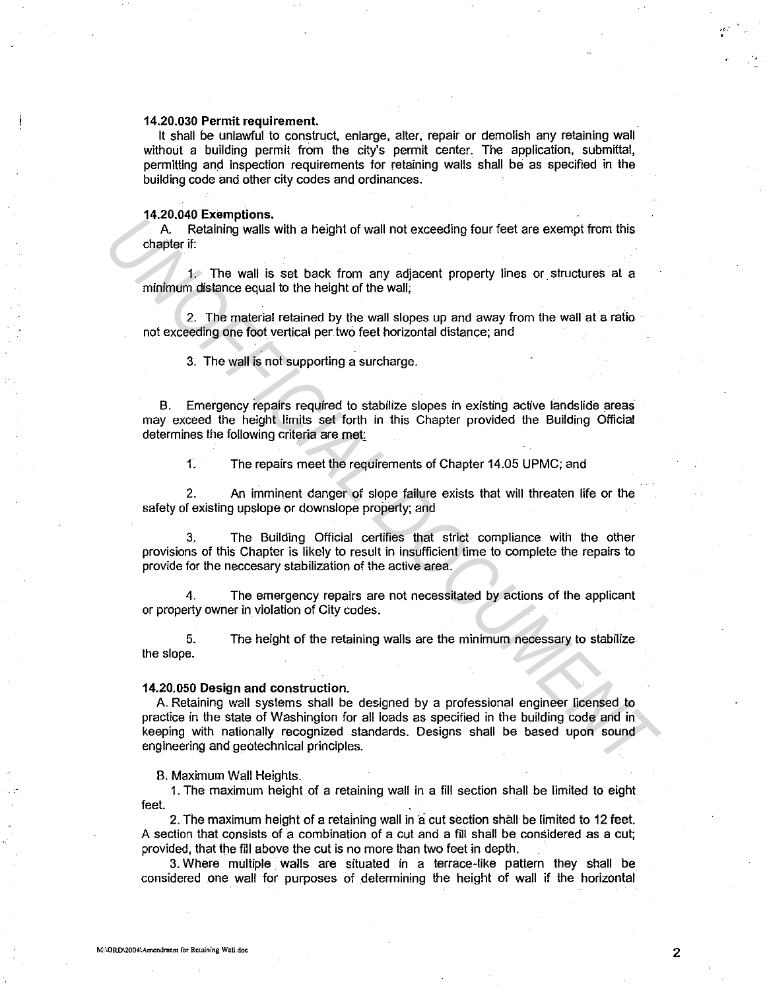### **14.20.030 Permit requirement.**

It shall be unlawful to construct, enlarge, alter, repair or demolish any retaining wall without a building permit from the city's permit center. The application, submittal, permitting and inspection requirements for retaining walls shall be as specified in the building code and other city codes and ordinances.

#### **14.20.040 Exemptions.**

A. Retaining walls with a height of wall not exceeding four feet are exempt from this chapter if:

1. The wall is set back from any adjacent property lines or structures at a minimum distance equal to the height of the wall;

2. The material retained by the wall slopes up and away from the wall at a ratio not exceeding one foot vertical per two feet horizontal distance; and

3. The wall is not supporting a surcharge.

B. Emergency repairs required to stabilize slopes in existing active landslide areas may exceed the height limits set forth in this Chapter provided the Building Official determines the following criteria are met

1. The repairs meet the requirements of Chapter 14.05 UPMC; and

2. An imminent danger of slope failure exists that will threaten life or the safety of existing upslope or downslope property; and

3. The Building Official certifies that strict compliance with the other provisions of this Chapter is likely to result in insufficient time to complete the repairs to provide for the neccesary stabilization of the active area.

4. The emergency repairs are not necessitated by actions of the applicant or property owner in violation of City codes.

5. The height of the retaining walls are the minimum necessary to stabilize the slope.

#### **14.20.050 Design and construction.**

A. Retaining wall systems shall be designed by a professional engineer licensed to practice in the state of Washington for all loads as specified in the building code and in keeping with nationally recognized standards. Designs shall be based upon sound engineering and geotechnical principles. **Example of the School School School School School School School School School School School School School School School School School School School School School School School School School School School School School Sch** 

B. Maximum Wall Heights.

1. The maximum height of a retaining wall in a fill section shall be limited to eight feet.

2. The maximum height of a retaining wall in a cut section shall be limited to 12 feet. A section that consists of a combination of a cut and a fill shall be considered as a cut; provided, that the fill above the cut is no more than two feet in depth.

3. Where multiple walls are situated in a terrace-like pattern they shall be considered one wall for purposes of determining the height of wall if the horizontal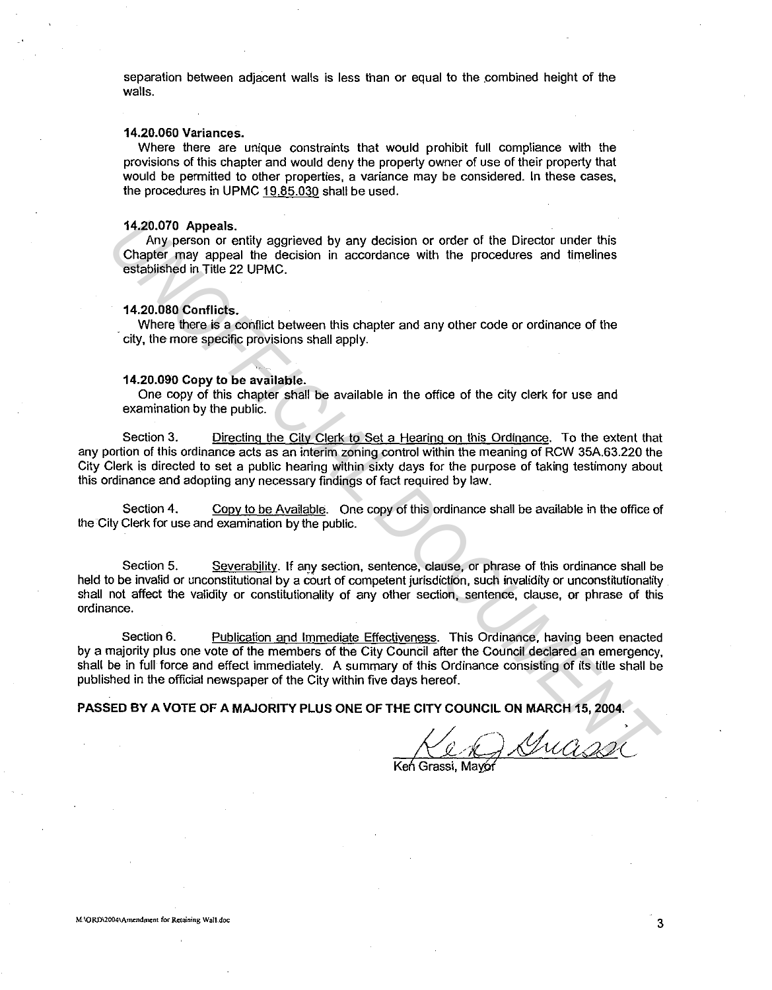separation between adjacent walls is less than or equal to the combined height of the walls.

# **14.20.060 Variances.**

Where there are unique constraints that would prohibit full compliance with the provisions of this chapter and would deny the property owner of use of their property that would be permitted to other properties, a variance may be considered. In these cases, the procedures in UPMC 19.85.030 shall be used.

#### **14.20.070 Appeals.**

Any person or entity aggrieved by any decision or order of the Director under this Chapter may appeal the decision in accordance with the procedures and timelines established in Title 22 UPMC.

### **14.20.080 Conflicts.**

. Where there is a conflict between this chapter and any other code or ordinance of the city, the more specific provisions shall apply.

# **14.20.090 Copy to be available.**

One copy of this chapter shall be available in the office of the city clerk for use and examination by the public.

Section 3. Directing the City Clerk to Set a Hearing on this Ordinance. To the extent that any portion of this ordinance acts as an interim zoning control within the meaning of RCW 35A.63.220 the City Clerk is directed to set a public hearing within sixty days for the purpose of taking testimony about this ordinance and adopting any necessary findings of fact required by law. 14,20.070 Appeals.<br>
Any person or entity aggrieved by any decision or order of the Director under this<br>
Chapter may appeal the decision in accordance with the procedures and timelines<br>
established in Title 22 UPMC.<br>
14.20.

Section 4. Copy to be Available. One copy of this ordinance shall be available in the office of the City Clerk for use and examination by the public.

Section 5. Severability. If any section, sentence, clause, or phrase of this ordinance shall be held to be invalid or unconstitutional by a court of competent jurisdiction, such invalidity or unconstitutionality shall not affect the validity or constitutionality of any other section, sentence, clause, or phrase of this ordinance.

Section 6. Publication and Immediate Effectiveness. This Ordinance, having been enacted by a majority plus one vote of the members of the City Council after the Council declared an emergency, shall be in full force and effect immediately. A summary of this Ordinance consisting of its title shall be published in the official newspaper of the City within five days hereof.

**PASSED BY A VOTE OF A MAJORITY PLUS ONE OF THE CITY COUNCIL ON MARCH 15, 2004.** 

Ken Grassi, Mavor